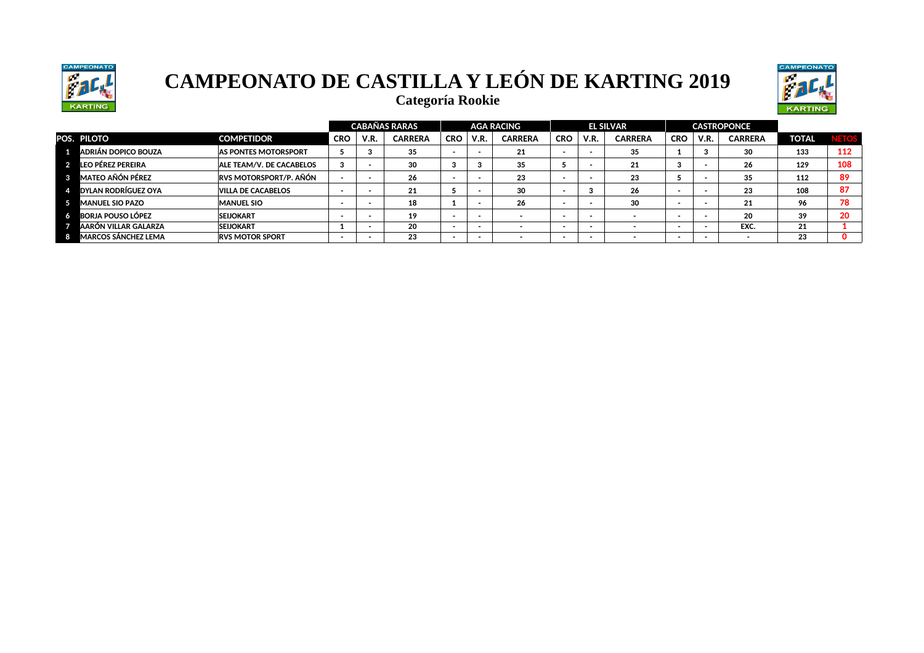



**Categoría Rookie**

|                            |                               |            |             | <b>CABAÑAS RARAS</b> |            |      | <b>AGA RACING</b> |            |      | <b>EL SILVAR</b> |            |      | <b>CASTROPONCE</b> |              |       |
|----------------------------|-------------------------------|------------|-------------|----------------------|------------|------|-------------------|------------|------|------------------|------------|------|--------------------|--------------|-------|
| POS. PILOTO                | <b>COMPETIDOR</b>             | <b>CRO</b> | <b>V.R.</b> | <b>CARRERA</b>       | <b>CRO</b> | V.R. | <b>CARRERA</b>    | <b>CRO</b> | V.R. | <b>CARRERA</b>   | <b>CRO</b> | V.R. | <b>CARRERA</b>     | <b>TOTAL</b> | VETOS |
| ADRIÁN DOPICO BOUZA        | <b>AS PONTES MOTORSPORT</b>   |            |             | 35                   |            |      | 21                |            |      | 35               |            | - 3  | 30                 | 133          | 112   |
| LEO PÉREZ PEREIRA          | ALE TEAM/V. DE CACABELOS      | -3         |             | 30                   |            |      | 35                |            |      | 21               |            |      | 26                 | 129          | 108   |
| <b>MATEO AÑÓN PÉREZ</b>    | <b>RVS MOTORSPORT/P. AÑÓN</b> |            |             | 26                   |            |      | 23                |            |      | 23               |            |      | 35                 | 112          | 89    |
| <b>DYLAN RODRÍGUEZ OYA</b> | <b>VILLA DE CACABELOS</b>     |            |             | 21                   |            |      | 30                |            |      | 26               |            |      | 23                 | 108          | 87    |
| <b>MANUEL SIO PAZO</b>     | <b>MANUEL SIO</b>             |            |             | 18                   |            |      | 26                |            |      | 30               |            |      | 21                 | 96           | 78    |
| <b>BORJA POUSO LÓPEZ</b>   | <b>SEIJOKART</b>              |            |             | 19                   |            |      |                   |            |      |                  |            |      | 20                 | 39           | 20    |
| IAARÓN VILLAR GALARZA      | <b>SEIJOKART</b>              |            |             | 20                   |            |      |                   |            |      |                  |            |      | EXC.               | 21           |       |
| <b>MARCOS SÁNCHEZ LEMA</b> | <b>RVS MOTOR SPORT</b>        |            |             | 23                   |            |      |                   | -          |      |                  |            | . .  |                    | 23           |       |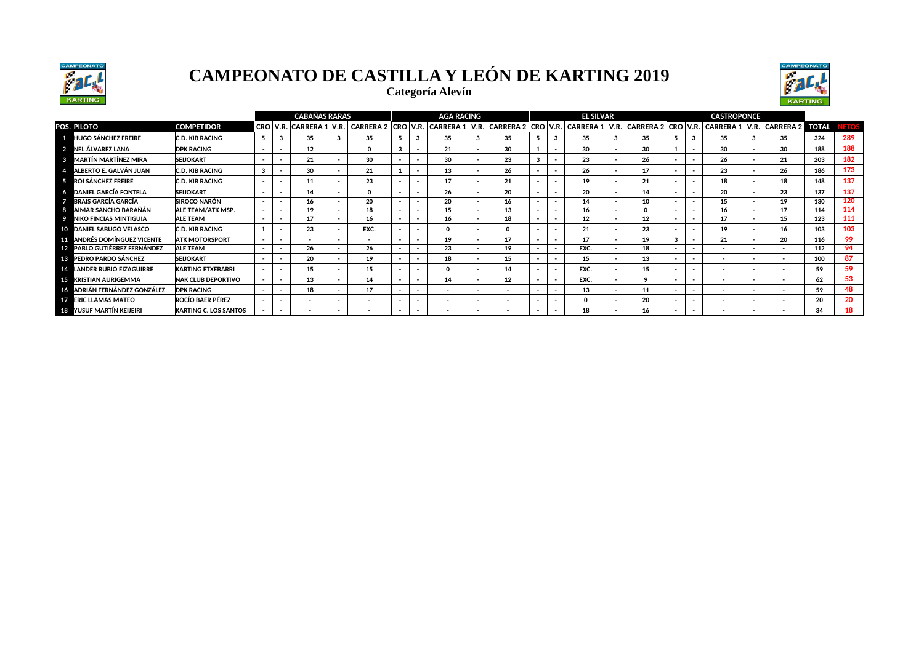





|                                      |                              |        | <b>CABANAS RARAS</b>   |                          |                  |            | <b>AGA RACING</b>        |                          |                          |                          |                          | <b>EL SILVAR</b>                                     |    |                          |                          | <b>CASTROPONCE</b>       |                                |     |             |
|--------------------------------------|------------------------------|--------|------------------------|--------------------------|------------------|------------|--------------------------|--------------------------|--------------------------|--------------------------|--------------------------|------------------------------------------------------|----|--------------------------|--------------------------|--------------------------|--------------------------------|-----|-------------|
| POS. PILOTO                          | <b>COMPETIDOR</b>            |        | CRO   V.R.   CARRERA 1 | V.R.                     | <b>CARRERA 2</b> | CRO   V.R. | <b>CARRERA 1</b>         | V.R.                     |                          |                          |                          | CARRERA 2 CRO V.R. CARRERA 1 V.R. CARRERA 2 CRO V.R. |    |                          |                          |                          | CARRERA 1 V.R. CARRERA 2 TOTAL |     | <b>ETOS</b> |
| <b>1 HUGO SÁNCHEZ FREIRE</b>         | C.D. KIB RACING              |        | 35                     |                          | 35               |            | 35                       |                          | 35                       |                          |                          | 35                                                   | 35 |                          |                          | 35                       | 35                             | 324 | 289         |
| 2 NEL ÁLVAREZ LANA                   | <b>DPK RACING</b>            | $\sim$ | $12 \,$                |                          | $\Omega$         |            | 21                       | $\sim$                   | 30                       |                          |                          | 30                                                   | 30 |                          |                          | 30                       | 30                             | 188 | 188         |
| 8 MARTÍN MARTÍNEZ MIRA               | <b>SEIJOKART</b>             | $\sim$ | 21                     |                          | 30               |            | 30                       | $\sim$                   | 23                       |                          |                          | 23                                                   | 26 | . .                      | . .                      | 26                       | 21                             | 203 | 182         |
| ALBERTO E. GALVÁN JUAN               | <b>C.D. KIB RACING</b>       | 3      | 30                     | $\overline{\phantom{a}}$ | 21               |            | 13                       | $\sim$                   | 26                       |                          | $\overline{\phantom{a}}$ | 26                                                   | 17 | $\overline{\phantom{a}}$ | . .                      | 23                       | 26                             | 186 | 173         |
| <b>5</b> ROI SÁNCHEZ FREIRE          | <b>C.D. KIB RACING</b>       | $\sim$ | 11                     | $\overline{\phantom{a}}$ | 23               |            | 17                       | $\overline{\phantom{a}}$ | 21                       |                          |                          | 19                                                   | 21 | . .                      |                          | 18                       | 18                             | 148 | 137         |
| <b>DANIEL GARCÍA FONTELA</b>         | <b>SEIJOKART</b>             | $\sim$ | 14                     | $\sim$                   | $\Omega$         |            | 26                       | $\sim$                   | 20                       |                          | $\overline{\phantom{a}}$ | 20                                                   | 14 | . .                      | . .                      | 20                       | 23                             | 137 | 137         |
| 7 BRAIS GARCÍA GARCÍA                | <b>SIROCO NARÓN</b>          | $\sim$ | 16                     | $\overline{\phantom{a}}$ | 20               |            | 20                       | $\overline{\phantom{a}}$ | 16                       |                          | $\overline{\phantom{a}}$ | 14                                                   | 10 | $\sim$                   | $\overline{\phantom{a}}$ | 15                       | 19                             | 130 | 120         |
| AIMAR SANCHO BARAÑÁN<br>-8           | ALE TEAM/ATK MSP.            | $\sim$ | 19                     | $\overline{\phantom{a}}$ | 18               |            | 15                       | $\overline{\phantom{a}}$ | 13                       |                          | $\overline{\phantom{a}}$ | 16                                                   |    | $\overline{\phantom{a}}$ | $\overline{\phantom{a}}$ | 16                       | 17                             | 114 | 114         |
| <b>NIKO FINCIAS MINTIGUIA</b><br>- 9 | <b>ALE TEAM</b>              | $\sim$ | 17                     | $\overline{\phantom{a}}$ | 16               |            | 16                       | $\sim$                   | 18                       |                          | $\overline{\phantom{a}}$ | 12                                                   | 12 | . .                      |                          | 17                       | 15                             | 123 | 111         |
| 10 DANIEL SABUGO VELASCO             | <b>C.D. KIB RACING</b>       |        | 23                     |                          | EXC.             |            | $\Omega$                 | $\sim$                   |                          |                          | $\overline{\phantom{a}}$ | 21                                                   | 23 | . .                      |                          | 19                       | 16                             | 103 | 103         |
| <b>11 ANDRÉS DOMÍNGUEZ VICENTE</b>   | <b>ATK MOTORSPORT</b>        | $\sim$ |                        | $\overline{\phantom{a}}$ |                  |            | 19                       | $\sim$                   | 17                       |                          | $\overline{\phantom{a}}$ | 17                                                   | 19 | 3                        |                          | 21                       | -20                            | 116 | 99          |
| 12 PABLO GUTIÉRREZ FERNÁNDEZ         | <b>ALE TEAM</b>              | $\sim$ | 26                     | $\overline{\phantom{a}}$ | 26               |            | 23                       | $\overline{\phantom{a}}$ | 19                       |                          | $\overline{\phantom{a}}$ | EXC.                                                 | 18 | . .                      | . .                      | $\overline{\phantom{a}}$ | $\overline{\phantom{a}}$       | 112 | 94          |
| <b>18 PEDRO PARDO SÁNCHEZ</b>        | <b>SEIJOKART</b>             | $\sim$ | 20                     |                          | 19               |            | 18                       | $\sim$                   | 15                       |                          | $\overline{\phantom{a}}$ | 15                                                   | 13 | . .                      | . .                      | $\overline{\phantom{a}}$ | $\overline{\phantom{a}}$       | 100 | 87          |
| 14 LANDER RUBIO EIZAGUIRRE           | <b>KARTING ETXEBARRI</b>     | $\sim$ | 15                     | $\sim$                   | 15               |            | $\mathbf{o}$             | $\sim$                   | 14                       | $\overline{\phantom{a}}$ | $\overline{\phantom{a}}$ | EXC.                                                 | 15 | . .                      | . .                      | $\sim$                   |                                | 59  | 59          |
| <b>15 KRISTIAN AURIGEMMA</b>         | <b>NAK CLUB DEPORTIVO</b>    |        | 13                     |                          | 14               |            | 14                       | $\overline{\phantom{a}}$ | 12                       |                          | $\overline{\phantom{a}}$ | EXC.                                                 | ۰  |                          | . .                      |                          | $\overline{\phantom{a}}$       | 62  | 53          |
| 16 ADRIÁN FERNÁNDEZ GONZÁLEZ         | <b>DPK RACING</b>            | $\sim$ | 18                     |                          | 17               |            | $\overline{\phantom{a}}$ | $\sim$                   | $\sim$                   |                          | $\overline{\phantom{a}}$ | 13                                                   | 11 | . .                      | . .                      | $\sim$                   |                                | 59  | 48          |
| <b>17 ERIC LLAMAS MATEO</b>          | <b>ROCÍO BAER PÉREZ</b>      | . .    |                        | $\sim$                   | $\sim$           |            | $\overline{\phantom{a}}$ | $\overline{\phantom{a}}$ | $\overline{\phantom{a}}$ |                          | $\overline{\phantom{a}}$ | $\Omega$                                             | 20 |                          | . .                      |                          |                                | 20  | 20          |
| 18 YUSUF MARTÍN KEIJEIRI             | <b>KARTING C. LOS SANTOS</b> |        |                        |                          |                  |            |                          |                          |                          |                          |                          | 18                                                   | 16 |                          |                          |                          |                                | 34  |             |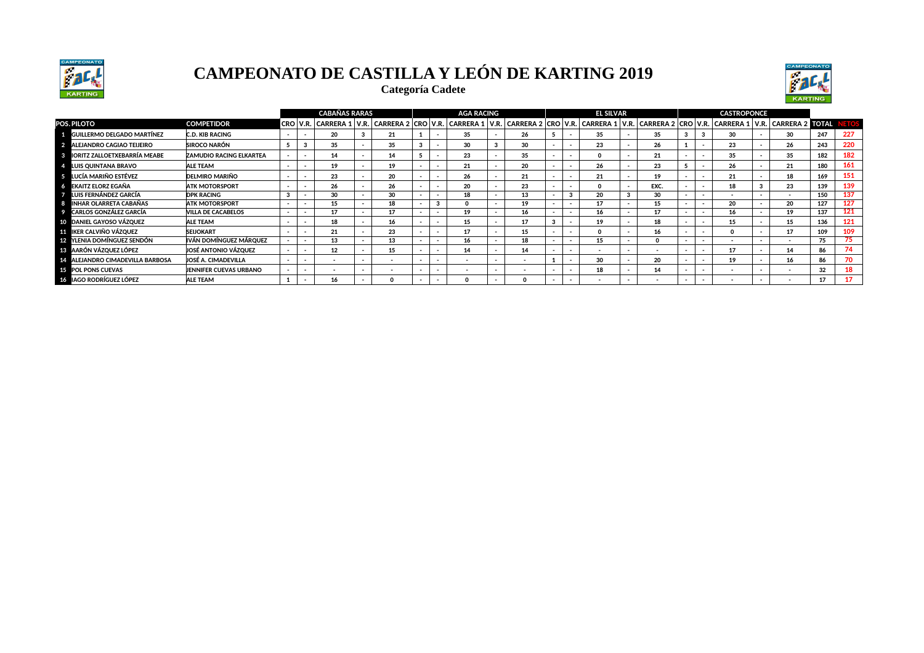

**Categoría Cadete**



|                                      |                                |        |          | <b>CABAÑAS RARAS</b> |                                                                                                                                                 |                          | <b>AGA RACING</b>        |                          |                          | <b>EL SILVAR</b> |              |                          | <b>CASTROPONCE</b> |                          |                          |     |     |
|--------------------------------------|--------------------------------|--------|----------|----------------------|-------------------------------------------------------------------------------------------------------------------------------------------------|--------------------------|--------------------------|--------------------------|--------------------------|------------------|--------------|--------------------------|--------------------|--------------------------|--------------------------|-----|-----|
| POS. PILOTO                          | <b>COMPETIDOR</b>              |        | CRO V.R. |                      | CARRERA 1   V.R.   CARRERA 2   CRO   V.R.   CARRERA 1   V.R.   CARRERA 2   CRO   V.R.   CARRERA 1   V.R.   CARRERA 1   V.R.   CARRERA 2   TOTAL |                          |                          |                          |                          |                  |              |                          |                    |                          |                          |     |     |
| <b>EL GUILLERMO DELGADO MARTÍNEZ</b> | <b>C.D. KIB RACING</b>         | $\sim$ |          | 20                   | 21                                                                                                                                              |                          | 35                       | 26                       |                          | 35               | 35           |                          | 30                 |                          | 30                       | 247 | 227 |
| 2 ALEJANDRO CAGIAO TEIJEIRO          | <b>SIROCO NARÓN</b>            |        |          | 35                   | 35                                                                                                                                              |                          | 30                       | 30                       |                          | 23               | 26           |                          | 23                 |                          | 26                       | 243 | 220 |
| 3 IORITZ ZALLOETXEBARRÍA MEABE       | <b>ZAMUDIO RACING ELKARTEA</b> |        |          | 14                   | 14                                                                                                                                              |                          | 23                       | 35                       |                          |                  | 21           |                          | 35                 |                          | 35                       | 182 | 182 |
| 4 LUIS QUINTANA BRAVO                | <b>ALE TEAM</b>                | $\sim$ |          | 19                   | 19                                                                                                                                              | $\overline{\phantom{a}}$ | 21                       | 20                       | $\overline{\phantom{0}}$ | 26               | 23           |                          | 26                 |                          | 21                       | 180 | 161 |
| <b>5</b> LUCÍA MARIÑO ESTÉVEZ        | <b>DELMIRO MARIÑO</b>          | $\sim$ |          | 23                   | 20                                                                                                                                              |                          | 26                       | 21                       |                          | 21               | 19           |                          | 21                 |                          | 18                       | 169 | 151 |
| 6 EKAITZ ELORZ EGAÑA                 | <b>ATK MOTORSPORT</b>          | $\sim$ |          | 26                   | 26                                                                                                                                              |                          | 20                       | 23                       |                          |                  | EXC.         |                          | 18                 |                          | 23                       | 139 | 139 |
| <b>7 LUIS FERNÁNDEZ GARCÍA</b>       | <b>DPK RACING</b>              |        |          | 30                   | 30                                                                                                                                              | $\overline{\phantom{a}}$ | 18                       | 13                       | $\overline{\phantom{a}}$ | 20               | 30           | $\overline{\phantom{0}}$ |                    |                          | $\overline{\phantom{a}}$ | 150 | 137 |
| 8 INHAR OLARRETA CABAÑAS             | <b>ATK MOTORSPORT</b>          | $\sim$ |          | 15                   | 18                                                                                                                                              | $\sim$                   |                          | 19                       | $\overline{\phantom{a}}$ | 17               | 15           | $\overline{\phantom{a}}$ | 20                 | $\sim$                   | 20                       | 127 | 127 |
| <b>2</b> CARLOS GONZÁLEZ GARCÍA      | <b>VILLA DE CACABELOS</b>      | $\sim$ |          | 17                   | 17                                                                                                                                              | $\overline{\phantom{a}}$ | 19                       | 16                       | $\overline{\phantom{a}}$ | 16               | 17           | $\overline{\phantom{0}}$ | 16                 |                          | 19                       | 137 | 121 |
| 10 DANIEL GAYOSO VÁZQUEZ             | <b>ALE TEAM</b>                | $\sim$ |          | 18                   | 16                                                                                                                                              | $\overline{\phantom{a}}$ | 15                       | 17                       |                          | 19               | 18           | $\overline{\phantom{a}}$ | 15                 |                          | 15                       | 136 | 121 |
| <b>FFL IKER CALVIÑO VÁZOUEZ</b>      | <b>SEIJOKART</b>               |        |          | 21                   | 23                                                                                                                                              |                          | 17                       | 15                       |                          |                  | 16           |                          |                    |                          | 17                       | 109 | 109 |
| 12 YLENIA DOMÍNGUEZ SENDÓN           | IVÁN DOMÍNGUEZ MÁROUEZ         |        |          | 13                   | 13                                                                                                                                              | $\overline{\phantom{0}}$ | 16                       | 18                       | $\overline{\phantom{a}}$ | 15               | <sup>0</sup> | $\overline{\phantom{0}}$ |                    | $\overline{\phantom{a}}$ | $\overline{\phantom{a}}$ | 75  | 75  |
| 13 AARÓN VÁZQUEZ LÓPEZ               | JOSÉ ANTONIO VÁZOUEZ           | $\sim$ |          | $12 \overline{ }$    | 15                                                                                                                                              | $\sim$                   | 14                       | 14                       | $\sim$                   |                  |              | $\overline{\phantom{0}}$ | 17                 | $\overline{\phantom{a}}$ | 14                       | 86  | 74  |
| 14 ALEJANDRO CIMADEVILLA BARBOSA     | JOSÉ A. CIMADEVILLA            | $\sim$ |          | $\sim$               | $\overline{\phantom{a}}$                                                                                                                        | $\sim$                   | $\overline{\phantom{a}}$ | $\overline{\phantom{a}}$ |                          | 30               | 20           |                          | 19                 |                          | 16                       | 86  |     |
| <b>15 POL PONS CUEVAS</b>            | JENNIFER CUEVAS URBANO         |        |          |                      |                                                                                                                                                 | $\overline{\phantom{a}}$ | $\overline{\phantom{0}}$ |                          | $\overline{\phantom{0}}$ | 18               | 14           |                          |                    |                          |                          | 32  | 18  |
| <b>16 IAGO RODRÍGUEZ LÓPEZ</b>       | <b>ALE TEAM</b>                |        |          | 16                   |                                                                                                                                                 |                          |                          |                          |                          |                  |              |                          |                    |                          |                          | 17  |     |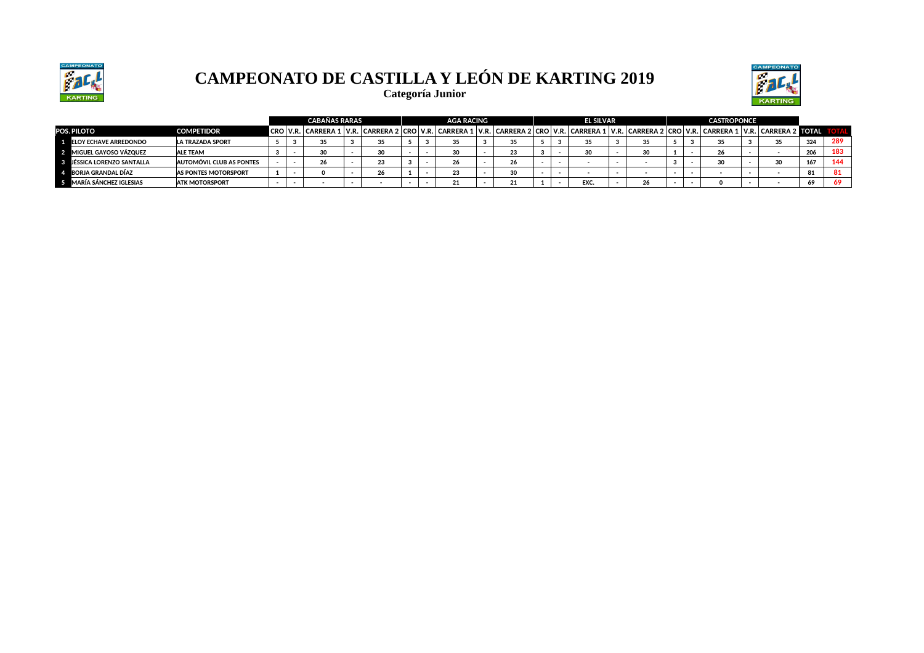



**Categoría Junior**

|                                |                             |  | <b>CABAÑAS RARAS</b> |    |  | AGA RACING |                                                                                                                                                                                                                               |  | <b>EL SILVAR</b> |    |  | <b>CASTROPONCE</b> |        |     |     |
|--------------------------------|-----------------------------|--|----------------------|----|--|------------|-------------------------------------------------------------------------------------------------------------------------------------------------------------------------------------------------------------------------------|--|------------------|----|--|--------------------|--------|-----|-----|
| POS. PILOTO                    | <b>COMPETIDOR</b>           |  |                      |    |  |            | CRO   V.R.   CARRERA 1   V.R.   CARRERA 2   CRO   V.R.   CARRERA 1   V.R.   CARRERA 2   CRO   V.R.   CARRERA 2   CRO   V.R.   CARRERA 1   V.R.   CARRERA 1   V.R.   CARRERA 2   CRO   V.R.   CARRERA 1   V.R.   CARRERA 1   V |  |                  |    |  |                    |        |     |     |
| <b>1 ELOY ECHAVE ARREDONDO</b> | <b>LA TRAZADA SPORT</b>     |  |                      | 35 |  | 35         |                                                                                                                                                                                                                               |  | 35               | 35 |  |                    | 35     | 324 | 289 |
| 2 MIGUEL GAYOSO VÁZQUEZ        | <b>ALE TEAM</b>             |  |                      | ઝ  |  | J.         | 23                                                                                                                                                                                                                            |  | 30               | 30 |  | 26                 |        | 206 | 183 |
| 3 JÉSSICA LORENZO SANTALLA     | AUTOMÓVIL CLUB AS PONTES    |  |                      | 23 |  |            | 26                                                                                                                                                                                                                            |  |                  |    |  | 30                 | $\sim$ | 167 | AA  |
| 4 BORJA GRANDAL DÍAZ           | <b>AS PONTES MOTORSPORT</b> |  |                      | 26 |  | 23         | - ΩΩ                                                                                                                                                                                                                          |  |                  |    |  |                    |        | 81  | 81  |
| 5 MARÍA SÁNCHEZ IGLESIAS       | <b>ATK MOTORSPORT</b>       |  |                      |    |  |            |                                                                                                                                                                                                                               |  | EXC.             | 26 |  |                    |        | 69  | 69  |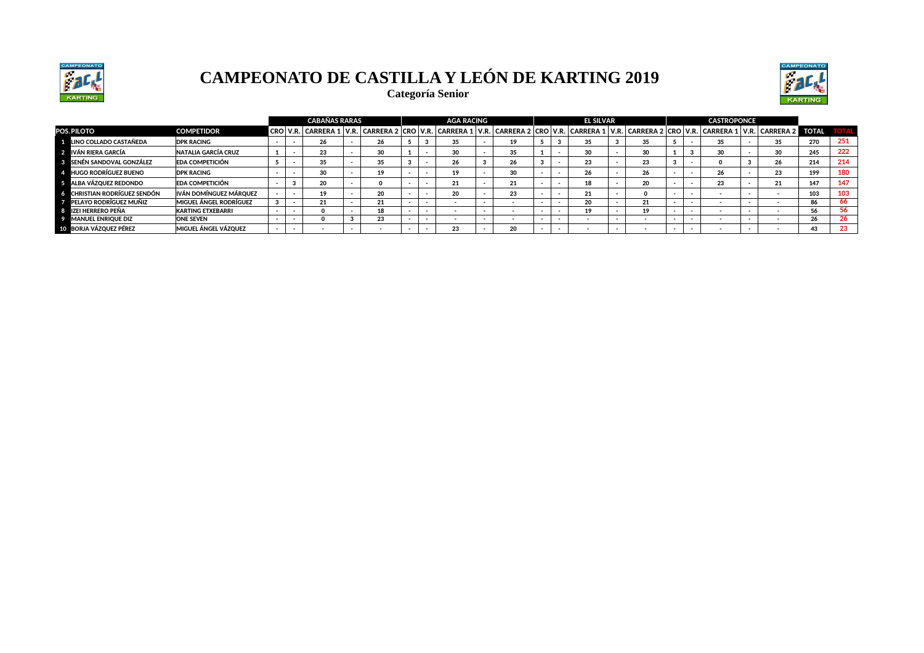



**Categoría Senior** 

|                                   |                               |  | <b>CABAÑAS RARAS</b> |    |  | <b>AGA RACING</b> |    |  | <b>EL SILVAR</b>                                                                                                                                                                                                           |    |  | <b>CASTROPONCE</b> |    |     |     |
|-----------------------------------|-------------------------------|--|----------------------|----|--|-------------------|----|--|----------------------------------------------------------------------------------------------------------------------------------------------------------------------------------------------------------------------------|----|--|--------------------|----|-----|-----|
| <b>POS.PILOTO</b>                 | <b>COMPETIDOR</b>             |  |                      |    |  |                   |    |  | CRO   V.R.   CARRERA 1   V.R.   CARRERA 2   CRO   V.R.   CARRERA 1   V.R.   CARRERA 2   CRO   V.R.   CARRERA 2   CRO   V.R.   CARRERA 1   V.R.   CARRERA 1   V.R.   CARRERA 1   V.R.   CARRERA 1   V.R.   CARRERA 1   V.R. |    |  |                    |    |     |     |
| LINO COLLADO CASTAÑEDA            | <b>DPK RACING</b>             |  | 26                   | 26 |  | 35                | 19 |  | 35                                                                                                                                                                                                                         | 35 |  | 35                 | 35 | 270 | 251 |
| IVÁN RIERA GARCÍA                 | <b>NATALIA GARCÍA CRUZ</b>    |  | 23                   | 30 |  | 30                | 35 |  | 30                                                                                                                                                                                                                         | 30 |  | 30                 | 30 | 245 | 222 |
| <b>BENÉN SANDOVAL GONZÁLEZ</b>    | <b>EDA COMPETICIÓN</b>        |  | 35                   | 35 |  | 26                | 26 |  | 23                                                                                                                                                                                                                         | 23 |  |                    | 26 | 214 | 214 |
| <b>HUGO RODRÍGUEZ BUENO</b>       | <b>DPK RACING</b>             |  | 30                   | 19 |  | 19                | 30 |  | 26                                                                                                                                                                                                                         |    |  |                    | 23 | 199 | 180 |
| ALBA VÁZQUEZ REDONDO              | <b>EDA COMPETICIÓN</b>        |  | 20                   |    |  | 21                | 21 |  | 18                                                                                                                                                                                                                         | 20 |  | 23                 | 21 | 147 | 147 |
| <b>CHRISTIAN RODRÍGUEZ SENDÓN</b> | IVÁN DOMÍNGUEZ MÁROUEZ        |  | 19                   | 20 |  | 20                | 23 |  | 21                                                                                                                                                                                                                         |    |  |                    |    | 103 | 103 |
| PELAYO RODRÍGUEZ MUÑIZ            | <b>MIGUEL ÁNGEL RODRÍGUEZ</b> |  | 21                   | 21 |  |                   |    |  | 20                                                                                                                                                                                                                         | 21 |  |                    |    | 86  | 66  |
| IZEI HERRERO PEÑA                 | <b>KARTING ETXEBARRI</b>      |  |                      | 18 |  |                   |    |  | 19                                                                                                                                                                                                                         |    |  |                    |    | 56  | -56 |
| <b>MANUEL ENRIQUE DIZ</b>         | <b>ONE SEVEN</b>              |  |                      | 23 |  |                   |    |  |                                                                                                                                                                                                                            |    |  |                    |    | 26  | -26 |
| 10 BORJA VÁZOUEZ PÉREZ            | <b>MIGUEL ÁNGEL VÁZQUEZ</b>   |  |                      |    |  | 23                | 20 |  |                                                                                                                                                                                                                            |    |  |                    |    | 43  | -23 |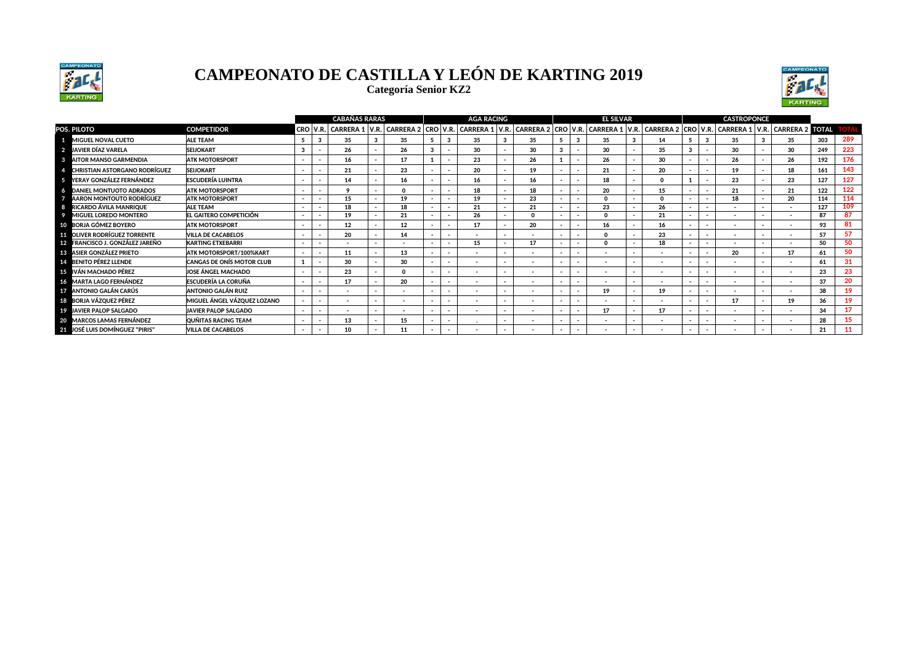

**Categoría Senior KZ2**



|                                                        |                                    |        |                          | <b>CABAÑAS RARAS</b>     |                          |                          | <b>AGA RACING</b>                 |      |                          |                          | <b>EL SILVAR</b>                  |        |                          |                          | <b>CASTROPONCE</b>                 |      |                             |     |           |
|--------------------------------------------------------|------------------------------------|--------|--------------------------|--------------------------|--------------------------|--------------------------|-----------------------------------|------|--------------------------|--------------------------|-----------------------------------|--------|--------------------------|--------------------------|------------------------------------|------|-----------------------------|-----|-----------|
| POS. PILOTO                                            | <b>COMPETIDOR</b>                  |        | CRO V.R.                 | <b>CARRERA 1</b>         |                          |                          | V.R. CARRERA 2 CRO V.R. CARRERA 1 | V.R. |                          |                          | CARRERA 2 CRO V.R. CARRERA 1 V.R. |        |                          |                          | CARRERA 2   CRO   V.R.   CARRERA 1 | V.R. | <b>CARRERA 2 TOTAL TOTA</b> |     |           |
| 1 MIGUEL NOVAL CUETO                                   | <b>ALE TEAM</b>                    |        |                          | 35                       | 35                       |                          | 35                                |      | 35                       |                          | 35                                |        | 14                       |                          | 35                                 |      | 35                          | 303 | 289       |
| 2 JAVIER DÍAZ VARELA                                   | <b>SEIJOKART</b>                   |        |                          | 26                       | 26                       |                          | 30                                |      | 30                       |                          | 30                                |        | 35                       |                          | 30                                 |      | 30                          | 249 | 223       |
| <b>8</b> AITOR MANSO GARMENDIA                         | <b>ATK MOTORSPORT</b>              |        | $\overline{\phantom{a}}$ | 16                       | 17                       |                          | 23                                |      | 26                       |                          | 26                                |        | 30                       |                          | 26                                 |      | 26                          | 192 | 176       |
| <b>CHRISTIAN ASTORGANO RODRÍGUEZ</b><br>$\overline{a}$ | <b>SEIJOKART</b>                   |        | $\sim$                   | 21                       | 23                       |                          | 20                                |      | 19                       |                          | 21                                |        | 20                       |                          | 19                                 |      | 18                          | 161 | 143       |
| 5 YERAY GONZÁLEZ FERNÁNDEZ                             | <b>ESCUDERÍA LUINTRA</b>           |        |                          | 14                       | 16                       |                          | 16                                |      | 16                       |                          | 18                                |        | $\Omega$                 |                          | 23                                 |      | 23                          | 127 | 127       |
| <b>6 DANIEL MONTUOTO ADRADOS</b>                       | <b>ATK MOTORSPORT</b>              |        |                          |                          | $\Omega$                 |                          | 18                                |      | 18                       |                          | 20                                |        | 15                       |                          | 21                                 |      | 21                          | 122 | 122       |
| <b>AARON MONTOUTO RODRÍGUEZ</b><br>- 7.                | <b>ATK MOTORSPORT</b>              |        | $\sim$                   | 15                       | 19                       | $\overline{\phantom{a}}$ | 19                                |      | 23                       | $\overline{\phantom{a}}$ | $\Omega$                          | $\sim$ | $\Omega$                 | $\overline{\phantom{0}}$ | 18                                 |      | 20                          | 114 | 114       |
| RICARDO ÁVILA MANRIQUE<br>-8                           | <b>ALE TEAM</b>                    |        | $\overline{\phantom{a}}$ | 18                       | 18                       | $\overline{\phantom{a}}$ | 21                                |      | 21                       | $\overline{\phantom{a}}$ | 23                                |        | 26                       |                          | -                                  |      | $\overline{\phantom{a}}$    | 127 | 109       |
| <b>MIGUEL LOREDO MONTERO</b><br>9                      | EL GAITERO COMPETICIÓN             |        |                          | 19                       | 21                       |                          | 26                                |      | $\Omega$                 |                          | $\Omega$                          |        | 21                       |                          | $\overline{\phantom{a}}$           |      | $\overline{\phantom{a}}$    | 87  | 87        |
| 10 BORJA GÓMEZ BOYERO                                  | <b>ATK MOTORSPORT</b>              |        |                          | 12                       | 12                       |                          | 17                                |      | 20                       |                          | 16                                |        | 16                       |                          |                                    |      | <b>.</b>                    | 93  | 81        |
| <b>11 OLIVER RODRÍGUEZ TORRENTE</b>                    | <b>VILLA DE CACABELOS</b>          |        | $\overline{\phantom{a}}$ | 20                       | 14                       |                          |                                   |      | $\overline{\phantom{a}}$ |                          | $\Omega$                          |        | 23                       |                          | $\overline{\phantom{a}}$           |      | $\overline{\phantom{a}}$    | 57  | 57        |
| 12 FRANCISCO J. GONZÁLEZ JAREÑO                        | <b>KARTING ETXEBARRI</b>           |        |                          |                          |                          |                          | 15                                |      | 17                       |                          | $\Omega$                          |        | 18                       |                          |                                    |      |                             | 50  | 50        |
| <b>18 ASIER GONZÁLEZ PRIETO</b>                        | <b>ATK MOTORSPORT/100%KART</b>     |        | $\overline{\phantom{a}}$ | 11                       | 13                       |                          |                                   |      | $\overline{\phantom{a}}$ |                          |                                   |        | $\overline{\phantom{a}}$ |                          | 20                                 |      | 17                          | 61  | 50        |
| 14 BENITO PÉREZ LLENDE                                 | <b>CANGAS DE ONÍS MOTOR CLUB</b>   |        |                          | 30                       | 30                       | $\overline{\phantom{a}}$ | $\overline{\phantom{a}}$          |      | $\overline{\phantom{a}}$ |                          | $\overline{\phantom{a}}$          |        | $\overline{\phantom{a}}$ |                          | $\overline{\phantom{a}}$           |      | $\overline{\phantom{a}}$    | 61  | 31        |
| 15 IVÁN MACHADO PÉREZ                                  | JOSE ÁNGEL MACHADO                 |        |                          | 23                       | $\Omega$                 |                          | -                                 |      | -                        |                          | $\overline{\phantom{0}}$          |        | $\overline{\phantom{0}}$ |                          |                                    |      | $\overline{\phantom{0}}$    | 23  | 23        |
| 16 MARTA LAGO FERNÁNDEZ                                | <b>ESCUDERÍA LA CORUÑA</b>         |        |                          | 17                       | 20                       |                          | -                                 |      | $\overline{\phantom{a}}$ |                          | $\overline{\phantom{0}}$          |        | $\overline{\phantom{a}}$ |                          | $\overline{\phantom{a}}$           |      | $\overline{\phantom{a}}$    | 37  | 20        |
| 17 ANTONIO GALÁN CARÚS                                 | <b>ANTONIO GALÁN RUIZ</b>          | $\sim$ | $\sim$                   | $\overline{\phantom{0}}$ | $\overline{\phantom{a}}$ |                          | $\overline{\phantom{0}}$          |      | $\overline{\phantom{a}}$ |                          | 19                                |        | 19                       |                          | $\overline{\phantom{a}}$           |      | $\overline{\phantom{a}}$    | 38  | 19        |
| 18 BORJA VÁZQUEZ PÉREZ                                 | <b>MIGUEL ÁNGEL VÁZQUEZ LOZANO</b> |        |                          | -                        | $\overline{\phantom{0}}$ |                          |                                   |      | -                        |                          |                                   |        |                          |                          | 17                                 |      | 19                          | 36  | 19        |
| 19 JAVIER PALOP SALGADO                                | <b>JAVIER PALOP SALGADO</b>        |        | $\overline{\phantom{a}}$ | $\overline{\phantom{a}}$ | $\overline{\phantom{a}}$ |                          | $\overline{\phantom{a}}$          |      | $\overline{\phantom{a}}$ |                          | 17                                |        | 17                       |                          | $\overline{\phantom{a}}$           |      | $\overline{\phantom{a}}$    | 34  | 17        |
| 20 MARCOS LAMAS FERNÁNDEZ                              | <b>QUÑITAS RACING TEAM</b>         |        |                          | 13                       | 15                       |                          |                                   |      | $\overline{\phantom{a}}$ |                          | $\overline{\phantom{a}}$          |        | $\overline{\phantom{a}}$ |                          | $\overline{\phantom{a}}$           |      | $\overline{\phantom{a}}$    | 28  | 15        |
| 21 JOSÉ LUIS DOMÍNGUEZ "PIRIS"                         | <b>VILLA DE CACABELOS</b>          |        |                          | 10                       | 11                       |                          |                                   |      |                          |                          |                                   |        |                          |                          |                                    |      |                             | 21  | <b>11</b> |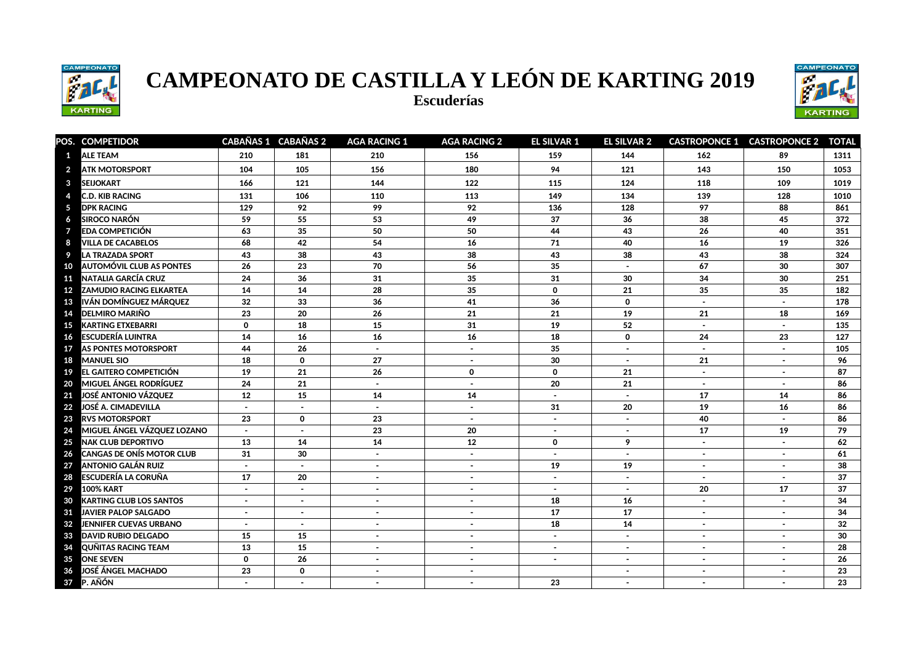

**Escuderías** 



|                 | POS. COMPETIDOR                   |                | CABAÑAS 1 CABAÑAS 2 | <b>AGA RACING 1</b> | <b>AGA RACING 2</b> | <b>EL SILVAR 1</b> | <b>EL SILVAR 2</b> |                | <b>CASTROPONCE 1 CASTROPONCE 2</b> | <b>TOTAL</b> |
|-----------------|-----------------------------------|----------------|---------------------|---------------------|---------------------|--------------------|--------------------|----------------|------------------------------------|--------------|
| $\mathbf{1}$    | <b>ALE TEAM</b>                   | 210            | 181                 | 210                 | 156                 | 159                | 144                | 162            | 89                                 | 1311         |
| $\overline{2}$  | <b>ATK MOTORSPORT</b>             | 104            | 105                 | 156                 | 180                 | 94                 | 121                | 143            | 150                                | 1053         |
| 3               | <b>SEIJOKART</b>                  | 166            | 121                 | 144                 | 122                 | 115                | 124                | 118            | 109                                | 1019         |
| 4               | <b>C.D. KIB RACING</b>            | 131            | 106                 | 110                 | 113                 | 149                | 134                | 139            | 128                                | 1010         |
| $\sqrt{5}$      | <b>DPK RACING</b>                 | 129            | 92                  | 99                  | 92                  | 136                | 128                | 97             | 88                                 | 861          |
| 6               | <b>SIROCO NARÓN</b>               | 59             | 55                  | 53                  | 49                  | 37                 | 36                 | 38             | 45                                 | 372          |
| $\overline{7}$  | <b>EDA COMPETICIÓN</b>            | 63             | 35                  | 50                  | 50                  | 44                 | 43                 | 26             | 40                                 | 351          |
| 8               | <b>VILLA DE CACABELOS</b>         | 68             | 42                  | 54                  | 16                  | 71                 | 40                 | 16             | 19                                 | 326          |
| -9              | <b>LA TRAZADA SPORT</b>           | 43             | 38                  | 43                  | 38                  | 43                 | 38                 | 43             | 38                                 | 324          |
| 10              | <b>AUTOMÓVIL CLUB AS PONTES</b>   | 26             | 23                  | 70                  | 56                  | 35                 |                    | 67             | 30                                 | 307          |
|                 | <b>11 NATALIA GARCÍA CRUZ</b>     | 24             | 36                  | 31                  | 35                  | 31                 | 30                 | 34             | 30                                 | 251          |
|                 | <b>12 ZAMUDIO RACING ELKARTEA</b> | 14             | 14                  | 28                  | 35                  | $\mathbf 0$        | 21                 | 35             | 35                                 | 182          |
| 13              | IVÁN DOMÍNGUEZ MÁRQUEZ            | 32             | 33                  | 36                  | 41                  | 36                 | 0                  | $\sim$         | $\sim$                             | 178          |
| 14              | <b>DELMIRO MARIÑO</b>             | 23             | 20                  | 26                  | 21                  | 21                 | 19                 | 21             | 18                                 | 169          |
| 15              | <b>KARTING ETXEBARRI</b>          | $\Omega$       | 18                  | 15                  | 31                  | 19                 | 52                 | $\sim$         | $\sim$                             | 135          |
| 16              | <b>ESCUDERÍA LUINTRA</b>          | 14             | 16                  | 16                  | 16                  | 18                 | 0                  | 24             | 23                                 | 127          |
| 17              | AS PONTES MOTORSPORT              | 44             | 26                  |                     | $\sim$              | 35                 |                    | $\sim$         |                                    | 105          |
| 18              | <b>MANUEL SIO</b>                 | 18             | $\mathbf 0$         | 27                  | $\blacksquare$      | 30                 |                    | 21             |                                    | 96           |
| 19              | EL GAITERO COMPETICIÓN            | 19             | 21                  | 26                  | $\mathbf 0$         | $\mathbf 0$        | 21                 | $\sim$         | $\sim$                             | 87           |
| 20              | <b>MIGUEL ÁNGEL RODRÍGUEZ</b>     | 24             | 21                  | $\sim$              | $\sim$              | 20                 | 21                 | $\sim$         | $\sim$                             | 86           |
|                 | 21 JOSÉ ANTONIO VÁZQUEZ           | 12             | 15                  | 14                  | 14                  | $\sim$             | $\sim$             | 17             | 14                                 | 86           |
|                 | 22 JOSÉ A. CIMADEVILLA            |                |                     | $\overline{a}$      | $\sim$              | 31                 | 20                 | 19             | 16                                 | 86           |
|                 | 23 RVS MOTORSPORT                 | 23             | $\mathbf 0$         | 23                  | $\sim$              | $\sim$             |                    | 40             |                                    | 86           |
| 24              | MIGUEL ÁNGEL VÁZQUEZ LOZANO       |                | $\sim$              | 23                  | 20                  | $\sim$             |                    | 17             | 19                                 | 79           |
| 25              | <b>NAK CLUB DEPORTIVO</b>         | 13             | 14                  | 14                  | 12                  | $\mathbf 0$        | 9                  | $\mathbf{r}$   | $\overline{a}$                     | 62           |
| 26              | <b>CANGAS DE ONÍS MOTOR CLUB</b>  | 31             | 30                  | $\sim$              | $\sim$              | $\sim$             | $\sim$             | $\sim$         | $\sim$                             | 61           |
| 27              | <b>ANTONIO GALÁN RUIZ</b>         | $\mathbf{r}$   | $\mathbf{r}$        | $\mathbf{r}$        | $\sim$              | 19                 | 19                 | $\bullet$      | $\sim$                             | 38           |
| 28              | <b>ESCUDERÍA LA CORUÑA</b>        | 17             | 20                  | $\sim$              | $\sim$              | $\blacksquare$     | $\sim$             | $\sim$         | $\sim$                             | 37           |
| 29              | <b>100% KART</b>                  | $\blacksquare$ | $\blacksquare$      | $\sim$              | $\blacksquare$      | $\sim$             | $\sim$             | 20             | 17                                 | 37           |
| 30              | <b>KARTING CLUB LOS SANTOS</b>    | $\blacksquare$ | $\sim$              | $\sim$              | $\sim$              | 18                 | 16                 | $\blacksquare$ | $\sim$                             | 34           |
| 31              | <b>JAVIER PALOP SALGADO</b>       |                | $\sim$              | $\sim$              | $\sim$              | 17                 | 17                 | $\blacksquare$ | $\sim$                             | 34           |
| 32 <sub>2</sub> | <b>JENNIFER CUEVAS URBANO</b>     |                | $\sim$              | $\sim$              | $\sim$              | 18                 | 14                 | $\sim$         | $\sim$                             | 32           |
| 33              | <b>DAVID RUBIO DELGADO</b>        | 15             | 15                  | $\sim$              | $\sim$              | $\sim$             | $\sim$             | $\sim$         | $\sim$                             | 30           |
| 34              | <b>QUÑITAS RACING TEAM</b>        | 13             | 15                  | $\sim$              | $\sim$              | $\sim$             | $\sim$             | $\sim$         | $\sim$                             | 28           |
| 35              | <b>ONE SEVEN</b>                  | $\mathbf 0$    | 26                  |                     | $\sim$              | $\sim$             |                    | $\sim$         |                                    | 26           |
| 36              | <b>JOSÉ ÁNGEL MACHADO</b>         | 23             | $\mathbf 0$         |                     | $\sim$              |                    |                    | $\blacksquare$ |                                    | 23           |
| 37              | P. AÑÓN                           |                | $\sim$              |                     | $\sim$              | 23                 |                    | $\sim$         |                                    | 23           |